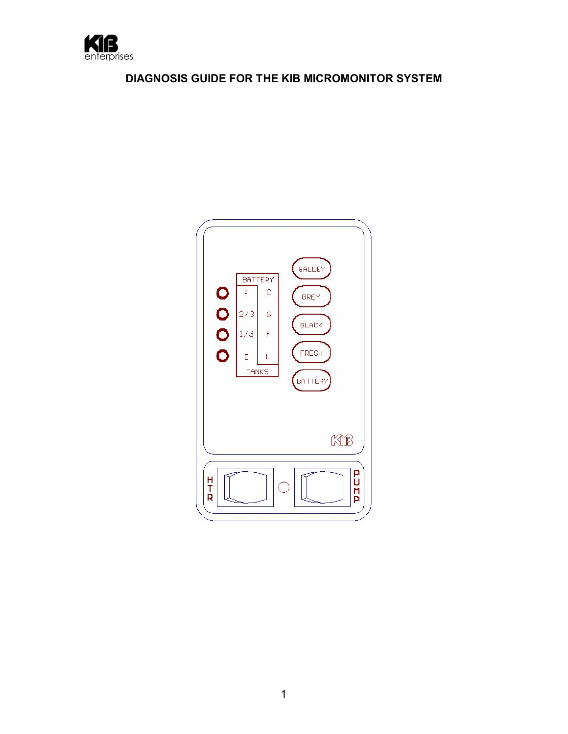

# **DIAGNOSIS GUIDE FOR THE KIB MICROMONITOR SYSTEM**

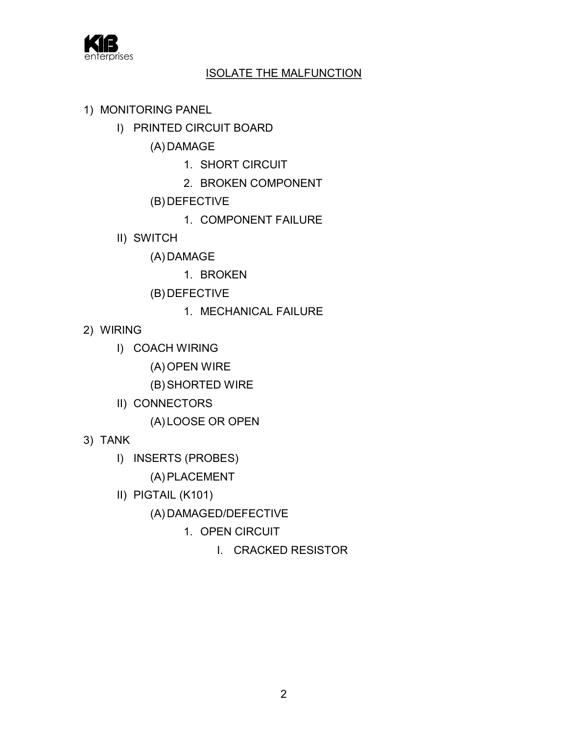

## ISOLATE THE MALFUNCTION

- 1) MONITORING PANEL
	- I) PRINTED CIRCUIT BOARD

(A) DAMAGE

- 1. SHORT CIRCUIT
- 2. BROKEN COMPONENT
- (B) DEFECTIVE
	- 1. COMPONENT FAILURE
- II) SWITCH

(A) DAMAGE

1. BROKEN

- (B) DEFECTIVE
	- 1. MECHANICAL FAILURE
- 2) WIRING
	- I) COACH WIRING
		- (A) OPEN WIRE
		- (B) SHORTED WIRE
	- II) CONNECTORS
		- (A) LOOSE OR OPEN
- 3) TANK
	- I) INSERTS (PROBES)
		- (A) PLACEMENT
	- II) PIGTAIL (K101)
		- (A) DAMAGED/DEFECTIVE
			- 1. OPEN CIRCUIT
				- I. CRACKED RESISTOR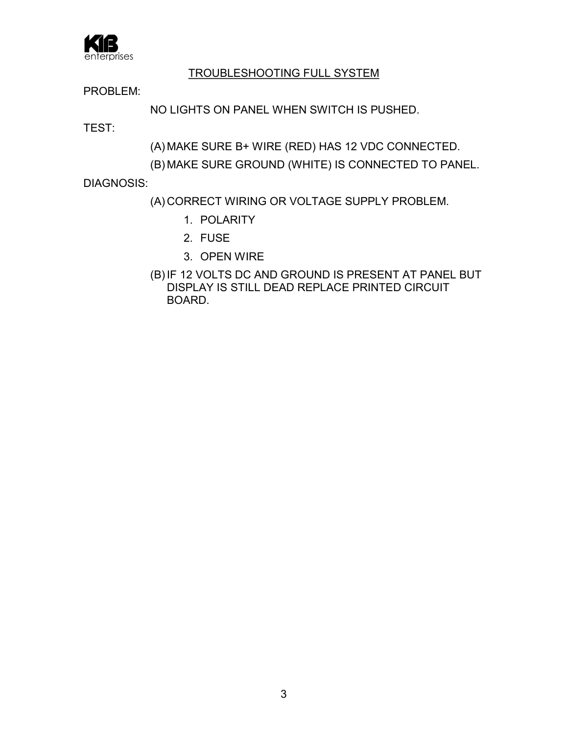

# TROUBLESHOOTING FULL SYSTEM

PROBLEM:

NO LIGHTS ON PANEL WHEN SWITCH IS PUSHED.

TEST:

(A) MAKE SURE B+ WIRE (RED) HAS 12 VDC CONNECTED.

(B) MAKE SURE GROUND (WHITE) IS CONNECTED TO PANEL.

DIAGNOSIS:

- (A) CORRECT WIRING OR VOLTAGE SUPPLY PROBLEM.
	- 1. POLARITY
	- 2. FUSE
	- 3. OPEN WIRE
- (B) IF 12 VOLTS DC AND GROUND IS PRESENT AT PANEL BUT DISPLAY IS STILL DEAD REPLACE PRINTED CIRCUIT BOARD.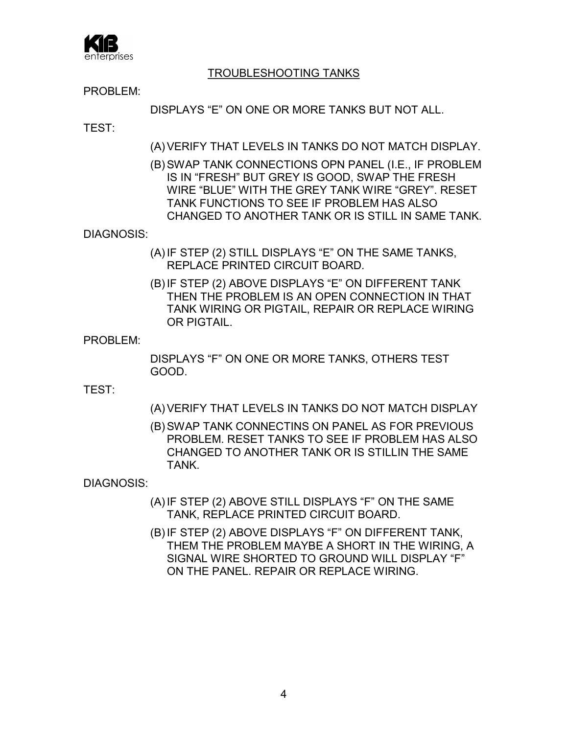

## TROUBLESHOOTING TANKS

PROBLEM:

DISPLAYS "E" ON ONE OR MORE TANKS BUT NOT ALL.

TEST:

- (A) VERIFY THAT LEVELS IN TANKS DO NOT MATCH DISPLAY.
- (B) SWAP TANK CONNECTIONS OPN PANEL (I.E., IF PROBLEM IS IN "FRESH" BUT GREY IS GOOD, SWAP THE FRESH WIRE "BLUE" WITH THE GREY TANK WIRE "GREY". RESET TANK FUNCTIONS TO SEE IF PROBLEM HAS ALSO CHANGED TO ANOTHER TANK OR IS STILL IN SAME TANK.

### DIAGNOSIS:

- (A) IF STEP (2) STILL DISPLAYS "E" ON THE SAME TANKS, REPLACE PRINTED CIRCUIT BOARD.
- (B) IF STEP (2) ABOVE DISPLAYS "E" ON DIFFERENT TANK THEN THE PROBLEM IS AN OPEN CONNECTION IN THAT TANK WIRING OR PIGTAIL, REPAIR OR REPLACE WIRING OR PIGTAIL.

#### PROBLEM<sup>-</sup>

DISPLAYS "F" ON ONE OR MORE TANKS, OTHERS TEST GOOD.

TEST:

(A) VERIFY THAT LEVELS IN TANKS DO NOT MATCH DISPLAY

(B) SWAP TANK CONNECTINS ON PANEL AS FOR PREVIOUS PROBLEM. RESET TANKS TO SEE IF PROBLEM HAS ALSO CHANGED TO ANOTHER TANK OR IS STILLIN THE SAME TANK.

DIAGNOSIS:

- (A) IF STEP (2) ABOVE STILL DISPLAYS "F" ON THE SAME TANK, REPLACE PRINTED CIRCUIT BOARD.
- (B) IF STEP (2) ABOVE DISPLAYS "F" ON DIFFERENT TANK, THEM THE PROBLEM MAYBE A SHORT IN THE WIRING, A SIGNAL WIRE SHORTED TO GROUND WILL DISPLAY "F" ON THE PANEL. REPAIR OR REPLACE WIRING.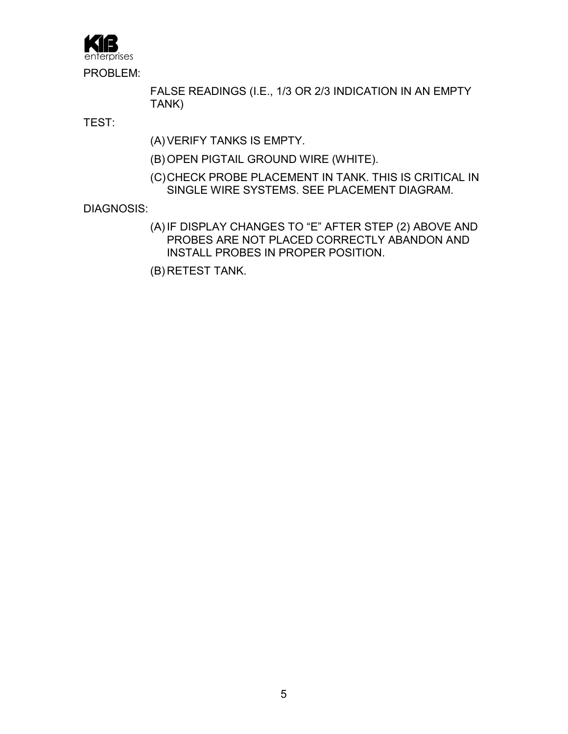erprises<sup>-</sup> PROBLEM:

> FALSE READINGS (I.E., 1/3 OR 2/3 INDICATION IN AN EMPTY TANK)

TEST:

(A) VERIFY TANKS IS EMPTY.

- (B) OPEN PIGTAIL GROUND WIRE (WHITE).
- (C)CHECK PROBE PLACEMENT IN TANK. THIS IS CRITICAL IN SINGLE WIRE SYSTEMS. SEE PLACEMENT DIAGRAM.

DIAGNOSIS:

(A) IF DISPLAY CHANGES TO "E" AFTER STEP (2) ABOVE AND PROBES ARE NOT PLACED CORRECTLY ABANDON AND INSTALL PROBES IN PROPER POSITION.

(B) RETEST TANK.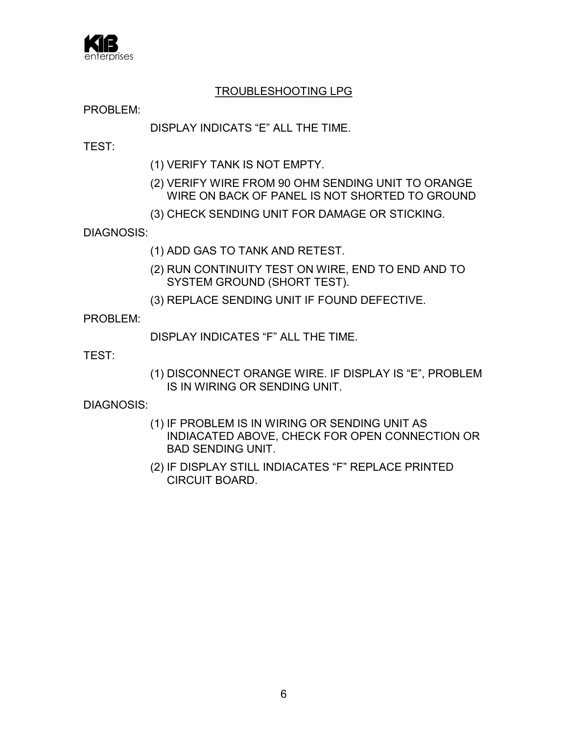

## TROUBLESHOOTING LPG

PROBLEM:

## DISPLAY INDICATS "E" ALL THE TIME.

TEST:

- (1) VERIFY TANK IS NOT EMPTY.
- (2) VERIFY WIRE FROM 90 OHM SENDING UNIT TO ORANGE WIRE ON BACK OF PANEL IS NOT SHORTED TO GROUND
- (3) CHECK SENDING UNIT FOR DAMAGE OR STICKING.

DIAGNOSIS:

- (1) ADD GAS TO TANK AND RETEST.
- (2) RUN CONTINUITY TEST ON WIRE, END TO END AND TO SYSTEM GROUND (SHORT TEST).
- (3) REPLACE SENDING UNIT IF FOUND DEFECTIVE.

PROBLEM<sup>.</sup>

DISPLAY INDICATES "F" ALL THE TIME.

TEST:

(1) DISCONNECT ORANGE WIRE. IF DISPLAY IS "E", PROBLEM IS IN WIRING OR SENDING UNIT.

DIAGNOSIS:

- (1) IF PROBLEM IS IN WIRING OR SENDING UNIT AS INDIACATED ABOVE, CHECK FOR OPEN CONNECTION OR BAD SENDING UNIT.
- (2) IF DISPLAY STILL INDIACATES "F" REPLACE PRINTED CIRCUIT BOARD.